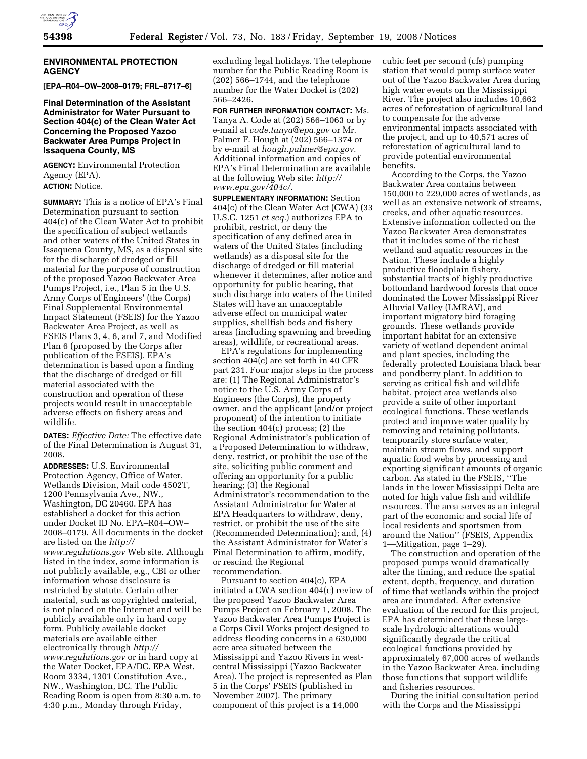

#### **ENVIRONMENTAL PROTECTION AGENCY**

**[EPA–R04–OW–2008–0179; FRL–8717–6]** 

**Final Determination of the Assistant Administrator for Water Pursuant to Section 404(c) of the Clean Water Act Concerning the Proposed Yazoo Backwater Area Pumps Project in Issaquena County, MS** 

**AGENCY:** Environmental Protection Agency (EPA). **ACTION:** Notice.

**SUMMARY:** This is a notice of EPA's Final Determination pursuant to section 404(c) of the Clean Water Act to prohibit the specification of subject wetlands and other waters of the United States in Issaquena County, MS, as a disposal site for the discharge of dredged or fill material for the purpose of construction of the proposed Yazoo Backwater Area Pumps Project, i.e., Plan 5 in the U.S. Army Corps of Engineers' (the Corps) Final Supplemental Environmental Impact Statement (FSEIS) for the Yazoo Backwater Area Project, as well as FSEIS Plans 3, 4, 6, and 7, and Modified Plan 6 (proposed by the Corps after publication of the FSEIS). EPA's determination is based upon a finding that the discharge of dredged or fill material associated with the construction and operation of these projects would result in unacceptable adverse effects on fishery areas and wildlife.

**DATES:** *Effective Date:* The effective date of the Final Determination is August 31, 2008.

**ADDRESSES:** U.S. Environmental Protection Agency, Office of Water, Wetlands Division, Mail code 4502T, 1200 Pennsylvania Ave., NW., Washington, DC 20460. EPA has established a docket for this action under Docket ID No. EPA–R04–OW– 2008–0179. All documents in the docket are listed on the *http:// www.regulations.gov* Web site. Although listed in the index, some information is not publicly available, e.g., CBI or other information whose disclosure is restricted by statute. Certain other material, such as copyrighted material, is not placed on the Internet and will be publicly available only in hard copy form. Publicly available docket materials are available either electronically through *http:// www.regulations.gov* or in hard copy at the Water Docket, EPA/DC, EPA West, Room 3334, 1301 Constitution Ave., NW., Washington, DC. The Public Reading Room is open from 8:30 a.m. to 4:30 p.m., Monday through Friday,

excluding legal holidays. The telephone number for the Public Reading Room is (202) 566–1744, and the telephone number for the Water Docket is (202) 566–2426.

**FOR FURTHER INFORMATION CONTACT:** Ms. Tanya A. Code at (202) 566–1063 or by e-mail at *code.tanya@epa.gov* or Mr. Palmer F. Hough at (202) 566–1374 or by e-mail at *hough.palmer@epa.gov*. Additional information and copies of EPA's Final Determination are available at the following Web site: *http:// www.epa.gov/404c/*.

**SUPPLEMENTARY INFORMATION:** Section 404(c) of the Clean Water Act (CWA) (33 U.S.C. 1251 *et seq.*) authorizes EPA to prohibit, restrict, or deny the specification of any defined area in waters of the United States (including wetlands) as a disposal site for the discharge of dredged or fill material whenever it determines, after notice and opportunity for public hearing, that such discharge into waters of the United States will have an unacceptable adverse effect on municipal water supplies, shellfish beds and fishery areas (including spawning and breeding areas), wildlife, or recreational areas.

EPA's regulations for implementing section 404(c) are set forth in 40 CFR part 231. Four major steps in the process are: (1) The Regional Administrator's notice to the U.S. Army Corps of Engineers (the Corps), the property owner, and the applicant (and/or project proponent) of the intention to initiate the section 404(c) process; (2) the Regional Administrator's publication of a Proposed Determination to withdraw, deny, restrict, or prohibit the use of the site, soliciting public comment and offering an opportunity for a public hearing; (3) the Regional Administrator's recommendation to the Assistant Administrator for Water at EPA Headquarters to withdraw, deny, restrict, or prohibit the use of the site (Recommended Determination); and, (4) the Assistant Administrator for Water's Final Determination to affirm, modify, or rescind the Regional recommendation.

Pursuant to section 404(c), EPA initiated a CWA section 404(c) review of the proposed Yazoo Backwater Area Pumps Project on February 1, 2008. The Yazoo Backwater Area Pumps Project is a Corps Civil Works project designed to address flooding concerns in a 630,000 acre area situated between the Mississippi and Yazoo Rivers in westcentral Mississippi (Yazoo Backwater Area). The project is represented as Plan 5 in the Corps' FSEIS (published in November 2007). The primary component of this project is a 14,000

cubic feet per second (cfs) pumping station that would pump surface water out of the Yazoo Backwater Area during high water events on the Mississippi River. The project also includes 10,662 acres of reforestation of agricultural land to compensate for the adverse environmental impacts associated with the project, and up to 40,571 acres of reforestation of agricultural land to provide potential environmental benefits.

According to the Corps, the Yazoo Backwater Area contains between 150,000 to 229,000 acres of wetlands, as well as an extensive network of streams, creeks, and other aquatic resources. Extensive information collected on the Yazoo Backwater Area demonstrates that it includes some of the richest wetland and aquatic resources in the Nation. These include a highly productive floodplain fishery, substantial tracts of highly productive bottomland hardwood forests that once dominated the Lower Mississippi River Alluvial Valley (LMRAV), and important migratory bird foraging grounds. These wetlands provide important habitat for an extensive variety of wetland dependent animal and plant species, including the federally protected Louisiana black bear and pondberry plant. In addition to serving as critical fish and wildlife habitat, project area wetlands also provide a suite of other important ecological functions. These wetlands protect and improve water quality by removing and retaining pollutants, temporarily store surface water, maintain stream flows, and support aquatic food webs by processing and exporting significant amounts of organic carbon. As stated in the FSEIS, ''The lands in the lower Mississippi Delta are noted for high value fish and wildlife resources. The area serves as an integral part of the economic and social life of local residents and sportsmen from around the Nation'' (FSEIS, Appendix 1—Mitigation, page 1–29).

The construction and operation of the proposed pumps would dramatically alter the timing, and reduce the spatial extent, depth, frequency, and duration of time that wetlands within the project area are inundated. After extensive evaluation of the record for this project, EPA has determined that these largescale hydrologic alterations would significantly degrade the critical ecological functions provided by approximately 67,000 acres of wetlands in the Yazoo Backwater Area, including those functions that support wildlife and fisheries resources.

During the initial consultation period with the Corps and the Mississippi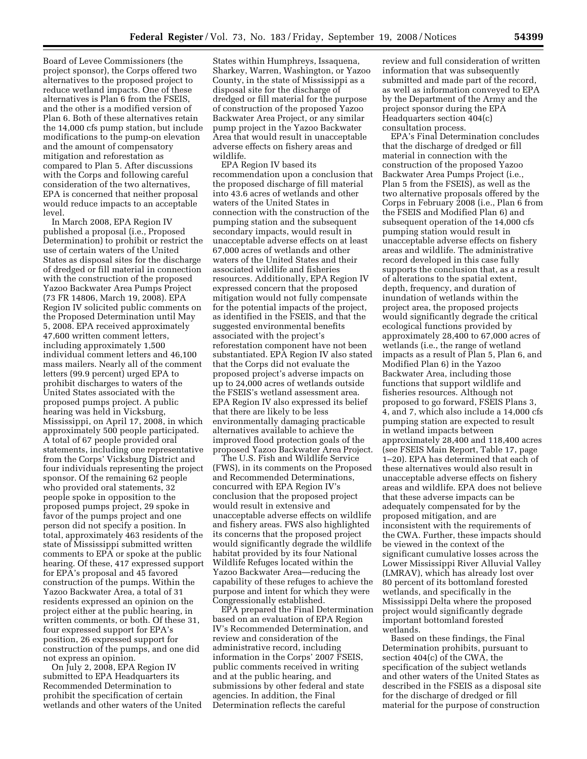Board of Levee Commissioners (the project sponsor), the Corps offered two alternatives to the proposed project to reduce wetland impacts. One of these alternatives is Plan 6 from the FSEIS, and the other is a modified version of Plan 6. Both of these alternatives retain the 14,000 cfs pump station, but include modifications to the pump-on elevation and the amount of compensatory mitigation and reforestation as compared to Plan 5. After discussions with the Corps and following careful consideration of the two alternatives, EPA is concerned that neither proposal would reduce impacts to an acceptable level.

In March 2008, EPA Region IV published a proposal (i.e., Proposed Determination) to prohibit or restrict the use of certain waters of the United States as disposal sites for the discharge of dredged or fill material in connection with the construction of the proposed Yazoo Backwater Area Pumps Project (73 FR 14806, March 19, 2008). EPA Region IV solicited public comments on the Proposed Determination until May 5, 2008. EPA received approximately 47,600 written comment letters, including approximately 1,500 individual comment letters and 46,100 mass mailers. Nearly all of the comment letters (99.9 percent) urged EPA to prohibit discharges to waters of the United States associated with the proposed pumps project. A public hearing was held in Vicksburg, Mississippi, on April 17, 2008, in which approximately 500 people participated. A total of 67 people provided oral statements, including one representative from the Corps' Vicksburg District and four individuals representing the project sponsor. Of the remaining 62 people who provided oral statements, 32 people spoke in opposition to the proposed pumps project, 29 spoke in favor of the pumps project and one person did not specify a position. In total, approximately 463 residents of the state of Mississippi submitted written comments to EPA or spoke at the public hearing. Of these, 417 expressed support for EPA's proposal and 45 favored construction of the pumps. Within the Yazoo Backwater Area, a total of 31 residents expressed an opinion on the project either at the public hearing, in written comments, or both. Of these 31, four expressed support for EPA's position, 26 expressed support for construction of the pumps, and one did not express an opinion.

On July 2, 2008, EPA Region IV submitted to EPA Headquarters its Recommended Determination to prohibit the specification of certain wetlands and other waters of the United States within Humphreys, Issaquena, Sharkey, Warren, Washington, or Yazoo County, in the state of Mississippi as a disposal site for the discharge of dredged or fill material for the purpose of construction of the proposed Yazoo Backwater Area Project, or any similar pump project in the Yazoo Backwater Area that would result in unacceptable adverse effects on fishery areas and wildlife.

EPA Region IV based its recommendation upon a conclusion that the proposed discharge of fill material into 43.6 acres of wetlands and other waters of the United States in connection with the construction of the pumping station and the subsequent secondary impacts, would result in unacceptable adverse effects on at least 67,000 acres of wetlands and other waters of the United States and their associated wildlife and fisheries resources. Additionally, EPA Region IV expressed concern that the proposed mitigation would not fully compensate for the potential impacts of the project, as identified in the FSEIS, and that the suggested environmental benefits associated with the project's reforestation component have not been substantiated. EPA Region IV also stated that the Corps did not evaluate the proposed project's adverse impacts on up to 24,000 acres of wetlands outside the FSEIS's wetland assessment area. EPA Region IV also expressed its belief that there are likely to be less environmentally damaging practicable alternatives available to achieve the improved flood protection goals of the proposed Yazoo Backwater Area Project.

The U.S. Fish and Wildlife Service (FWS), in its comments on the Proposed and Recommended Determinations, concurred with EPA Region IV's conclusion that the proposed project would result in extensive and unacceptable adverse effects on wildlife and fishery areas. FWS also highlighted its concerns that the proposed project would significantly degrade the wildlife habitat provided by its four National Wildlife Refuges located within the Yazoo Backwater Area—reducing the capability of these refuges to achieve the purpose and intent for which they were Congressionally established.

EPA prepared the Final Determination based on an evaluation of EPA Region IV's Recommended Determination, and review and consideration of the administrative record, including information in the Corps' 2007 FSEIS, public comments received in writing and at the public hearing, and submissions by other federal and state agencies. In addition, the Final Determination reflects the careful

review and full consideration of written information that was subsequently submitted and made part of the record, as well as information conveyed to EPA by the Department of the Army and the project sponsor during the EPA Headquarters section 404(c) consultation process.

EPA's Final Determination concludes that the discharge of dredged or fill material in connection with the construction of the proposed Yazoo Backwater Area Pumps Project (i.e., Plan 5 from the FSEIS), as well as the two alternative proposals offered by the Corps in February 2008 (i.e., Plan 6 from the FSEIS and Modified Plan 6) and subsequent operation of the 14,000 cfs pumping station would result in unacceptable adverse effects on fishery areas and wildlife. The administrative record developed in this case fully supports the conclusion that, as a result of alterations to the spatial extent, depth, frequency, and duration of inundation of wetlands within the project area, the proposed projects would significantly degrade the critical ecological functions provided by approximately 28,400 to 67,000 acres of wetlands (i.e., the range of wetland impacts as a result of Plan 5, Plan 6, and Modified Plan 6) in the Yazoo Backwater Area, including those functions that support wildlife and fisheries resources. Although not proposed to go forward, FSEIS Plans 3, 4, and 7, which also include a 14,000 cfs pumping station are expected to result in wetland impacts between approximately 28,400 and 118,400 acres (see FSEIS Main Report, Table 17, page 1–20). EPA has determined that each of these alternatives would also result in unacceptable adverse effects on fishery areas and wildlife. EPA does not believe that these adverse impacts can be adequately compensated for by the proposed mitigation, and are inconsistent with the requirements of the CWA. Further, these impacts should be viewed in the context of the significant cumulative losses across the Lower Mississippi River Alluvial Valley (LMRAV), which has already lost over 80 percent of its bottomland forested wetlands, and specifically in the Mississippi Delta where the proposed project would significantly degrade important bottomland forested wetlands.

Based on these findings, the Final Determination prohibits, pursuant to section 404(c) of the CWA, the specification of the subject wetlands and other waters of the United States as described in the FSEIS as a disposal site for the discharge of dredged or fill material for the purpose of construction